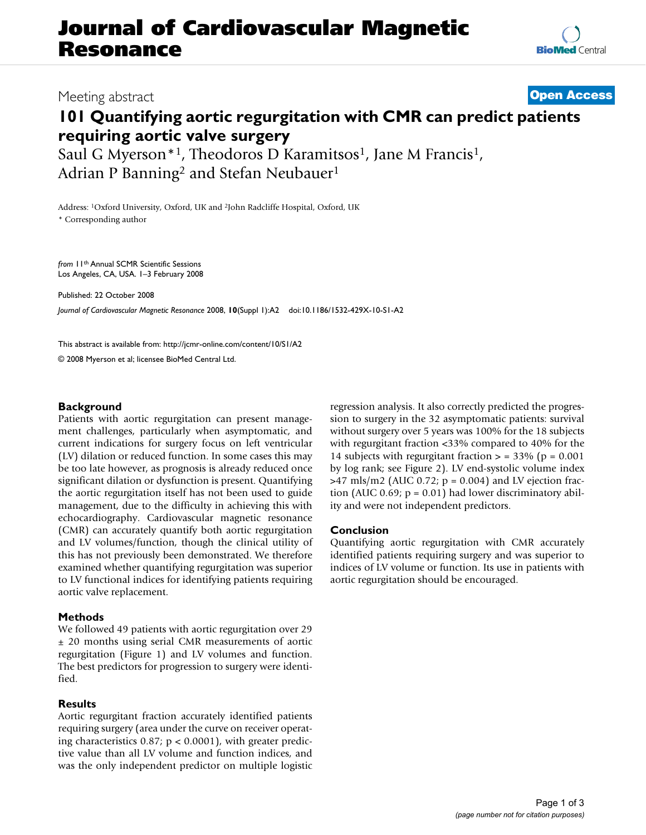# **Journal of Cardiovascular Magnetic Resonance**

## Meeting abstract **[Open Access](http://www.biomedcentral.com/info/about/charter/)**

# **101 Quantifying aortic regurgitation with CMR can predict patients requiring aortic valve surgery**

Saul G Myerson<sup>\*1</sup>, Theodoros D Karamitsos<sup>1</sup>, Jane M Francis<sup>1</sup>, Adrian P Banning<sup>2</sup> and Stefan Neubauer<sup>1</sup>

Address: 1Oxford University, Oxford, UK and 2John Radcliffe Hospital, Oxford, UK \* Corresponding author

*from* 11th Annual SCMR Scientific Sessions Los Angeles, CA, USA. 1–3 February 2008

Published: 22 October 2008

*Journal of Cardiovascular Magnetic Resonance* 2008, **10**(Suppl 1):A2 doi:10.1186/1532-429X-10-S1-A2

[This abstract is available from: http://jcmr-online.com/content/10/S1/A2](http://jcmr-online.com/content/10/S1/A2)

© 2008 Myerson et al; licensee BioMed Central Ltd.

#### **Background**

Patients with aortic regurgitation can present management challenges, particularly when asymptomatic, and current indications for surgery focus on left ventricular (LV) dilation or reduced function. In some cases this may be too late however, as prognosis is already reduced once significant dilation or dysfunction is present. Quantifying the aortic regurgitation itself has not been used to guide management, due to the difficulty in achieving this with echocardiography. Cardiovascular magnetic resonance (CMR) can accurately quantify both aortic regurgitation and LV volumes/function, though the clinical utility of this has not previously been demonstrated. We therefore examined whether quantifying regurgitation was superior to LV functional indices for identifying patients requiring aortic valve replacement.

### **Methods**

We followed 49 patients with aortic regurgitation over 29 ± 20 months using serial CMR measurements of aortic regurgitation (Figure 1) and LV volumes and function. The best predictors for progression to surgery were identified.

#### **Results**

Aortic regurgitant fraction accurately identified patients requiring surgery (area under the curve on receiver operating characteristics 0.87;  $p < 0.0001$ ), with greater predictive value than all LV volume and function indices, and was the only independent predictor on multiple logistic regression analysis. It also correctly predicted the progression to surgery in the 32 asymptomatic patients: survival without surgery over 5 years was 100% for the 18 subjects with regurgitant fraction <33% compared to 40% for the 14 subjects with regurgitant fraction  $>$  = 33% (p = 0.001) by log rank; see Figure 2). LV end-systolic volume index  $>47$  mls/m2 (AUC 0.72; p = 0.004) and LV ejection fraction (AUC 0.69;  $p = 0.01$ ) had lower discriminatory ability and were not independent predictors.

#### **Conclusion**

Quantifying aortic regurgitation with CMR accurately identified patients requiring surgery and was superior to indices of LV volume or function. Its use in patients with aortic regurgitation should be encouraged.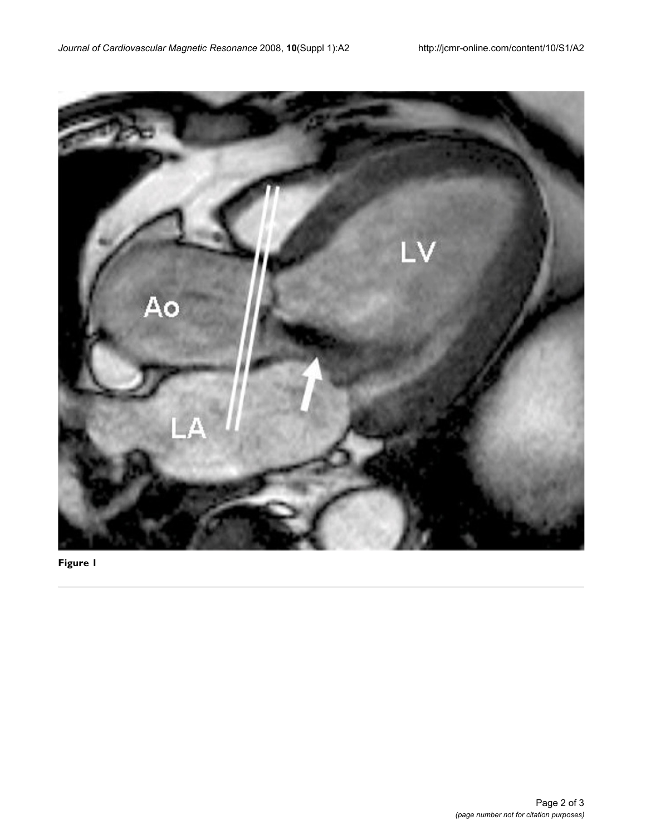

**Figure 1**